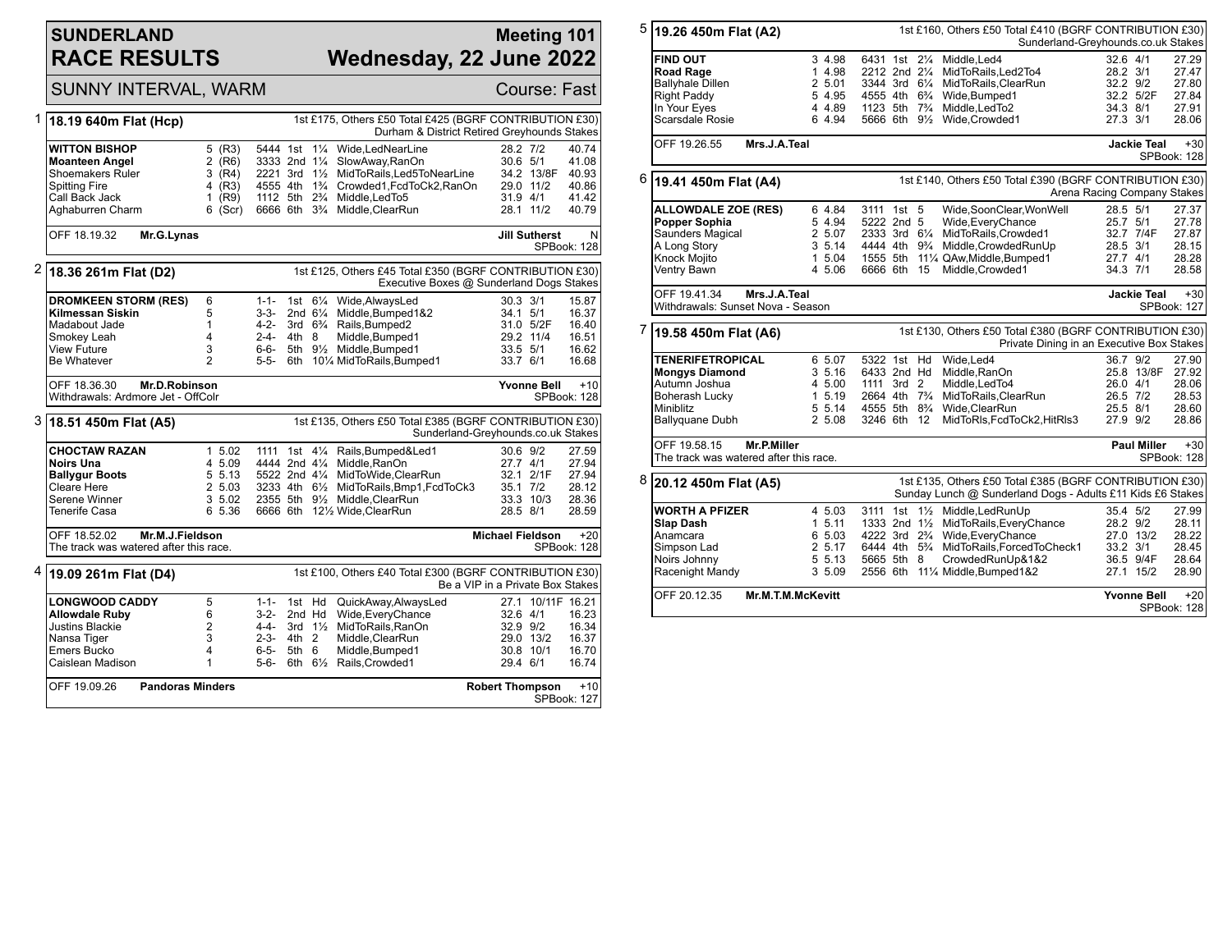# **SUNDERLAND RACE RESULTS**

### **Meeting 101 Wednesday, 22 June 2022**

|   | SUNNY INTERVAL, WARM                                                                                                 |                                                                                                        |                                                                 | Course: Fast                         |                    |                                                                                                                                                                                                                                                                |                                                        |                                                  |                                                                |  |  |
|---|----------------------------------------------------------------------------------------------------------------------|--------------------------------------------------------------------------------------------------------|-----------------------------------------------------------------|--------------------------------------|--------------------|----------------------------------------------------------------------------------------------------------------------------------------------------------------------------------------------------------------------------------------------------------------|--------------------------------------------------------|--------------------------------------------------|----------------------------------------------------------------|--|--|
| 1 | 18.19 640m Flat (Hcp)                                                                                                | 1st £175, Others £50 Total £425 (BGRF CONTRIBUTION £30)<br>Durham & District Retired Greyhounds Stakes |                                                                 |                                      |                    |                                                                                                                                                                                                                                                                |                                                        |                                                  |                                                                |  |  |
|   | WITTON BISHOP<br><b>Moanteen Angel</b><br>Shoemakers Ruler<br>Spitting Fire<br>Call Back Jack<br>Aghaburren Charm    | 5 (R3)<br>$2$ (R6)<br>(R4)<br>3<br>$4$ (R3)<br>1 $(R9)$<br>$6$ (Scr)                                   | 5444 1st<br>3333 2nd 11/4                                       |                                      |                    | 11/ <sub>4</sub> Wide.LedNearLine<br>SlowAway, RanOn<br>2221 3rd 11/2 MidToRails.Led5ToNearLine<br>4555 4th 1% Crowded1, FcdToCk2, RanOn<br>1112 5th 2 <sup>3</sup> / <sub>4</sub> Middle, Led To 5<br>6666 6th 3 <sup>3</sup> / <sub>4</sub> Middle, ClearRun | 28.2 7/2<br>30.6 5/1                                   | 34.2 13/8F<br>29.0 11/2<br>31.9 4/1<br>28.1 11/2 | 40.74<br>41.08<br>40.93<br>40.86<br>41.42<br>40.79             |  |  |
|   | OFF 18.19.32<br>Mr.G.Lynas                                                                                           |                                                                                                        | N<br><b>Jill Sutherst</b><br>SPBook: 128                        |                                      |                    |                                                                                                                                                                                                                                                                |                                                        |                                                  |                                                                |  |  |
| 2 | 18.36 261m Flat (D2)                                                                                                 | 1st £125, Others £45 Total £350 (BGRF CONTRIBUTION £30)<br>Executive Boxes @ Sunderland Dogs Stakes    |                                                                 |                                      |                    |                                                                                                                                                                                                                                                                |                                                        |                                                  |                                                                |  |  |
|   | <b>DROMKEEN STORM (RES)</b><br>Kilmessan Siskin<br>Madabout Jade<br>Smokey Leah<br><b>View Future</b><br>Be Whatever | 6<br>5<br>1<br>4<br>3<br>$\overline{2}$                                                                | 3-3-<br>4-2-<br>2-4-<br>6-6-<br>5-5-                            | 4th 8                                | 2nd $6\frac{1}{4}$ | 1-1- 1st 61/4 Wide, Always Led<br>Middle, Bumped 1&2<br>3rd 6 <sup>3</sup> / <sub>4</sub> Rails, Bumped2<br>Middle, Bumped1<br>5th 91/ <sub>2</sub> Middle.Bumped1<br>6th 101/4 MidToRails, Bumped1                                                            | $30.3 \frac{3}{1}$<br>34.1 5/1<br>33.5 5/1<br>33.7 6/1 | 31.0 5/2F<br>29.2 11/4                           | 15.87<br>16.37<br>16.40<br>16.51<br>16.62<br>16.68             |  |  |
|   | OFF 18.36.30<br>Mr.D.Robinson<br>Withdrawals: Ardmore Jet - OffColr                                                  |                                                                                                        |                                                                 |                                      |                    |                                                                                                                                                                                                                                                                |                                                        | <b>Yvonne Bell</b>                               | $+10$<br>SPBook: 128                                           |  |  |
| 3 | 18.51 450m Flat (A5)                                                                                                 | 1st £135, Others £50 Total £385 (BGRF CONTRIBUTION £30)<br>Sunderland-Greyhounds.co.uk Stakes          |                                                                 |                                      |                    |                                                                                                                                                                                                                                                                |                                                        |                                                  |                                                                |  |  |
|   | <b>CHOCTAW RAZAN</b><br>Noirs Una<br><b>Ballygur Boots</b><br>Cleare Here<br>Serene Winner<br>Tenerife Casa          | 1, 5.02<br>4 5.09<br>5 5.13<br>2 5.03<br>3 5.02<br>6 5.36                                              | 1111                                                            |                                      |                    | 1st 41/4 Rails, Bumped & Led1<br>4444 2nd 41/4 Middle.RanOn<br>5522 2nd 41/4 MidToWide.ClearRun<br>3233 4th 61/2 MidToRails, Bmp1, FcdToCk3<br>2355 5th 91/ <sub>2</sub> Middle.ClearRun<br>6666 6th 121/2 Wide, ClearRun                                      | 30.6 9/2<br>27.7 4/1<br>28.5 8/1                       | 32.1 2/1F<br>35.1 7/2<br>33.3 10/3               | 27.59<br>27.94<br>27.94<br>28.12<br>28.36<br>28.59             |  |  |
|   | OFF 18.52.02                                                                                                         | Mr.M.J.Fieldson<br>The track was watered after this race.                                              |                                                                 |                                      |                    |                                                                                                                                                                                                                                                                |                                                        |                                                  | <b>Michael Fieldson</b><br>$+20$<br>SPBook: 128                |  |  |
| 4 | 19.09 261m Flat (D4)                                                                                                 |                                                                                                        |                                                                 |                                      |                    | 1st £100, Others £40 Total £300 (BGRF CONTRIBUTION £30)                                                                                                                                                                                                        | Be a VIP in a Private Box Stakes                       |                                                  |                                                                |  |  |
|   | <b>LONGWOOD CADDY</b><br><b>Allowdale Ruby</b><br>Justins Blackie<br>Nansa Tiger<br>Emers Bucko<br>Caislean Madison  | 5<br>6<br>2<br>3<br>4<br>1                                                                             | $1 - 1 -$<br>$3-2-$<br>4-4-<br>$2 - 3 -$<br>$6 - 5 -$<br>$5-6-$ | 1st Hd<br>2nd Hd<br>$4th$ 2<br>5th 6 | 3rd $1\frac{1}{2}$ | QuickAway,AlwaysLed<br>Wide, Every Chance<br>MidToRails.RanOn<br>Middle, ClearRun<br>Middle, Bumped1<br>6th 61/2 Rails, Crowded1                                                                                                                               | 32.6 4/1<br>32.9 9/2<br>29.4 6/1                       | 29.0 13/2<br>30.8 10/1                           | 27.1 10/11F 16.21<br>16.23<br>16.34<br>16.37<br>16.70<br>16.74 |  |  |
|   | OFF 19.09.26                                                                                                         | <b>Pandoras Minders</b><br><b>Robert Thompson</b><br>$+10$<br>SPBook: 127                              |                                                                 |                                      |                    |                                                                                                                                                                                                                                                                |                                                        |                                                  |                                                                |  |  |

| 5 | 19.26 450m Flat (A2)                                                                                           |                   |                                                         |  |  | 1st £160, Others £50 Total £410 (BGRF CONTRIBUTION £30)<br>Sunderland-Greyhounds.co.uk Stakes                         |                      |                        |                         |
|---|----------------------------------------------------------------------------------------------------------------|-------------------|---------------------------------------------------------|--|--|-----------------------------------------------------------------------------------------------------------------------|----------------------|------------------------|-------------------------|
|   | <b>FIND OUT</b><br>Road Rage                                                                                   | 3 4.98<br>1 4.98  | 6431 1st 21/4<br>2212 2nd 21/4                          |  |  | Middle.Led4<br>MidToRails.Led2To4                                                                                     | 32.6 4/1<br>28.2 3/1 |                        | 27.29<br>27.47          |
|   | <b>Ballyhale Dillen</b><br><b>Right Paddy</b><br>In Your Eves                                                  | 2 5.01<br>5 4.95  | 3344 3rd 61/4<br>1123 5th 7 <sup>3</sup> / <sub>4</sub> |  |  | MidToRails, ClearRun<br>4555 4th 6 <sup>3</sup> / <sub>4</sub> Wide, Bumped 1<br>Middle.LedTo2                        | 32.2 9/2<br>34.3 8/1 | 32.2 5/2F              | 27.80<br>27.84<br>27.91 |
|   | Scarsdale Rosie                                                                                                | 4 4.89<br>6 4.94  |                                                         |  |  | 5666 6th 91/2 Wide, Crowded1                                                                                          | 27.3 3/1             |                        | 28.06                   |
|   | OFF 19.26.55<br>Mrs.J.A.Teal                                                                                   |                   |                                                         |  |  |                                                                                                                       |                      | <b>Jackie Teal</b>     | $+30$<br>SPBook: 128    |
| 6 | 1st £140, Others £50 Total £390 (BGRF CONTRIBUTION £30)<br>19.41 450m Flat (A4)<br>Arena Racing Company Stakes |                   |                                                         |  |  |                                                                                                                       |                      |                        |                         |
|   | <b>ALLOWDALE ZOE (RES)</b>                                                                                     | 6 4.84            | 3111 1st 5                                              |  |  | Wide,SoonClear,WonWell                                                                                                | 28.5 5/1             |                        | 27.37                   |
|   | Popper Sophia                                                                                                  | 5 4.94            | 5222 2nd 5                                              |  |  | Wide, Every Chance                                                                                                    | 25.7 5/1             |                        | 27.78                   |
|   | Saunders Magical<br>A Long Story                                                                               | 2 5.07<br>3, 5.14 | $2333$ 3rd $6\frac{1}{4}$                               |  |  | MidToRails, Crowded1<br>4444 4th 9 <sup>3</sup> / <sub>4</sub> Middle.CrowdedRunUp                                    | 28.5 3/1             | 32.7 7/4F              | 27.87<br>28.15          |
|   | Knock Mojito                                                                                                   | 1 5.04            |                                                         |  |  | 1555 5th 111/4 QAw, Middle, Bumped1                                                                                   | 27.7 4/1             |                        | 28.28                   |
|   | Ventry Bawn                                                                                                    | 4 5.06            | 6666 6th 15                                             |  |  | Middle, Crowded1                                                                                                      | 34.3 7/1             |                        | 28.58                   |
|   | OFF 19.41.34<br>Mrs.J.A.Teal<br>Withdrawals: Sunset Nova - Season                                              |                   |                                                         |  |  |                                                                                                                       |                      | <b>Jackie Teal</b>     | $+30$<br>SPBook: 127    |
| 7 | 19.58 450m Flat (A6)                                                                                           |                   |                                                         |  |  | 1st £130, Others £50 Total £380 (BGRF CONTRIBUTION £30)<br>Private Dining in an Executive Box Stakes                  |                      |                        |                         |
|   | <b>TENERIFETROPICAL</b>                                                                                        | 6 5.07            | 5322 1st Hd                                             |  |  | Wide, Led4                                                                                                            | 36.7 9/2             |                        | 27.90                   |
|   | <b>Mongys Diamond</b>                                                                                          | 3, 5.16           | 6433 2nd Hd                                             |  |  | Middle, RanOn                                                                                                         |                      | 25.8 13/8F             | 27.92                   |
|   | Autumn Joshua                                                                                                  | 4 5.00            | 1111 3rd 2<br>2664 4th 7 <sup>3</sup> / <sub>4</sub>    |  |  | Middle.LedTo4                                                                                                         | 26.0 4/1             |                        | 28.06                   |
|   | <b>Boherash Lucky</b><br>Miniblitz                                                                             | 1 5.19<br>5 5.14  | 4555 5th 8 <sup>3</sup> / <sub>4</sub>                  |  |  | MidToRails, ClearRun<br>Wide.ClearRun                                                                                 | 26.5 7/2<br>25.5 8/1 |                        | 28.53<br>28.60          |
|   | Ballyquane Dubh                                                                                                | 2 5.08            | 3246 6th 12                                             |  |  | MidToRIs, FcdToCk2, HitRIs3                                                                                           | 27.9 9/2             |                        | 28.86                   |
|   | OFF 19.58.15<br>Mr.P.Miller<br>The track was watered after this race.                                          |                   |                                                         |  |  |                                                                                                                       |                      | <b>Paul Miller</b>     | $+30$<br>SPBook: 128    |
| 8 | 20.12 450m Flat (A5)                                                                                           |                   |                                                         |  |  | 1st £135, Others £50 Total £385 (BGRF CONTRIBUTION £30)<br>Sunday Lunch @ Sunderland Dogs - Adults £11 Kids £6 Stakes |                      |                        |                         |
|   | WORTH A PFIZER                                                                                                 | 4 5.03            |                                                         |  |  | 3111 1st 11/2 Middle, Led Run Up                                                                                      | 35.4 5/2             |                        | 27.99                   |
|   | <b>Slap Dash</b>                                                                                               | 1, 5.11           |                                                         |  |  | 1333 2nd 11/2 MidToRails, Every Chance                                                                                | 28.2 9/2             |                        | 28.11                   |
|   | Anamcara                                                                                                       | 6 5.03            | 4222 3rd 2 <sup>3</sup> / <sub>4</sub>                  |  |  | Wide, Every Chance                                                                                                    |                      | 27.0 13/2              | 28.22                   |
|   | Simpson Lad                                                                                                    | 2 5.17            |                                                         |  |  | 6444 4th 5 <sup>3</sup> / <sub>4</sub> MidToRails, ForcedToCheck1                                                     | 33.2 3/1             |                        | 28.45                   |
|   | Noirs Johnny<br>Racenight Mandy                                                                                | 5 5.13<br>3 5.09  | 5665 5th 8                                              |  |  | CrowdedRunUp&1&2<br>2556 6th 111/4 Middle, Bumped 1&2                                                                 |                      | 36.5 9/4F<br>27.1 15/2 | 28.64<br>28.90          |
|   | OFF 20.12.35<br>Mr.M.T.M.McKevitt                                                                              |                   |                                                         |  |  |                                                                                                                       |                      | <b>Yvonne Bell</b>     | $+20$<br>SPBook: 128    |